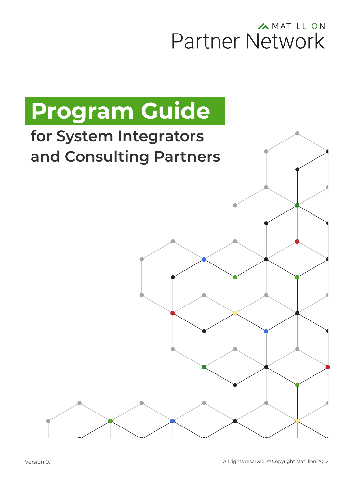## A MATILLION Partner Network

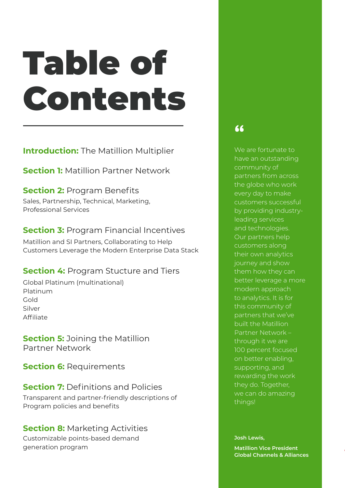# Table of Contents

**Introduction:** [The Matillion Multiplier](#page-2-0)

**Section 1: Matillion Partner Network** 

#### **Section 2: [Program Benefits](#page-5-0)**

Sales, Partnership, Technical, Marketing, Professional Services

### **Section 3: [Program Financial Incentives](#page-7-0)**

Matillion and SI Partners, Collaborating to Help Customers Leverage the Modern Enterprise Data Stack

#### **Section 4:** [Program Stucture and Tiers](#page-8-0)

Global Platinum (multinational) Platinum Gold Silver Affiliate

**Section 5: Joining the Matillion** Partner Network

**Section 6: Requirements** 

#### **Section 7:** [Definitions and Policies](#page-13-0) Transparent and partner-friendly descriptions of

Program policies and benefits

#### **Section 8: [Marketing Activities](#page-19-0)**

Customizable points-based demand generation program

### **"**

We are fortunate to have an outstanding community of partners from across the globe who work every day to make customers successful by providing industryleading services and technologies. Our partners help customers along their own analytics journey and show them how they can better leverage a more modern approach to analytics. It is for this community of partners that we've built the Matillion Partner Network – through it we are 100 percent focused on better enabling, supporting, and rewarding the work they do. Together, we can do amazing things!

**Josh Lewis,** 

**Matillion Vice President Global Channels & Alliances**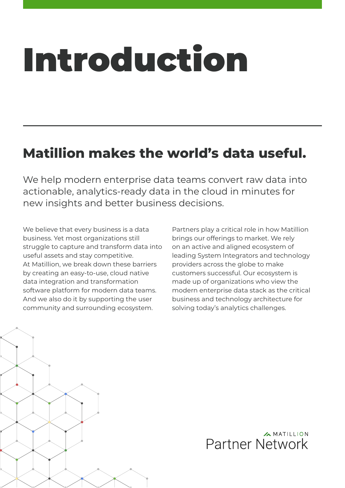# <span id="page-2-0"></span>Introduction

## **Matillion makes the world's data useful.**

We help modern enterprise data teams convert raw data into actionable, analytics-ready data in the cloud in minutes for new insights and better business decisions.

We believe that every business is a data business. Yet most organizations still struggle to capture and transform data into useful assets and stay competitive. At Matillion, we break down these barriers by creating an easy-to-use, cloud native data integration and transformation software platform for modern data teams. And we also do it by supporting the user community and surrounding ecosystem.

Partners play a critical role in how Matillion brings our offerings to market. We rely on an active and aligned ecosystem of leading System Integrators and technology providers across the globe to make customers successful. Our ecosystem is made up of organizations who view the modern enterprise data stack as the critical business and technology architecture for solving today's analytics challenges.



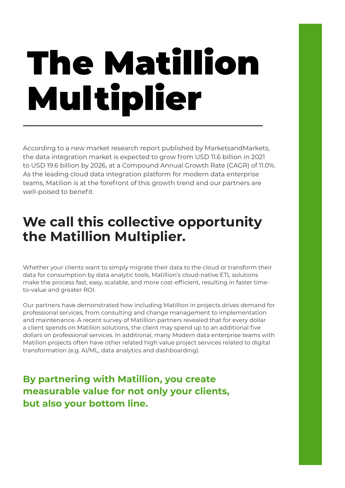# The Matillion Multiplier

According to a new market research report published by MarketsandMarkets, the data integration market is expected to grow from USD 11.6 billion in 2021 to USD 19.6 billion by 2026, at a Compound Annual Growth Rate (CAGR) of 11.0%. As the leading cloud data integration platform for modern data enterprise teams, Matilion is at the forefront of this growth trend and our partners are well-poised to benefit.

## **We call this collective opportunity the Matillion Multiplier.**

Whether your clients want to simply migrate their data to the cloud or transform their data for consumption by data analytic tools, Matillion's cloud-native ETL solutions make the process fast, easy, scalable, and more cost-efficient, resulting in faster timeto-value and greater ROI.

Our partners have demonstrated how including Matillion in projects drives demand for professional services, from consulting and change management to implementation and maintenance. A recent survey of Matillion partners revealed that for every dollar a client spends on Matilion solutions, the client may spend up to an additional five dollars on professional services. In additional, many Modern data enterprise teams with Matilion projects often have other related high value project services related to digital transformation (e.g. AI/ML, data analytics and dashboarding).

### **By partnering with Matillion, you create measurable value for not only your clients, but also your bottom line.**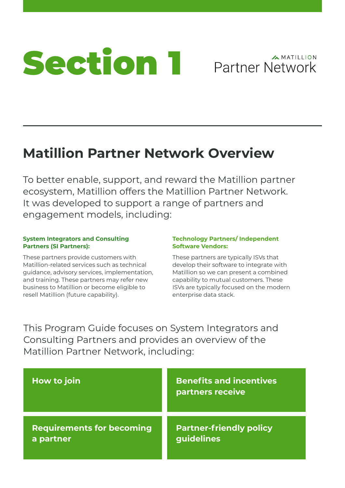<span id="page-4-0"></span>

### **AMATILLION Partner Network**

## **Matillion Partner Network Overview**

To better enable, support, and reward the Matillion partner ecosystem, Matillion offers the Matillion Partner Network. It was developed to support a range of partners and engagement models, including:

#### **System Integrators and Consulting Partners (SI Partners):**

These partners provide customers with Matillion-related services such as technical guidance, advisory services, implementation, and training. These partners may refer new business to Matillion or become eligible to resell Matillion (future capability).

#### **Technology Partners/ Independent Software Vendors:**

These partners are typically ISVs that develop their software to integrate with Matillion so we can present a combined capability to mutual customers. These ISVs are typically focused on the modern enterprise data stack.

This Program Guide focuses on System Integrators and Consulting Partners and provides an overview of the Matillion Partner Network, including:

| <b>How to join</b>               | <b>Benefits and incentives</b><br>partners receive |
|----------------------------------|----------------------------------------------------|
| <b>Requirements for becoming</b> | <b>Partner-friendly policy</b>                     |
| a partner                        | guidelines                                         |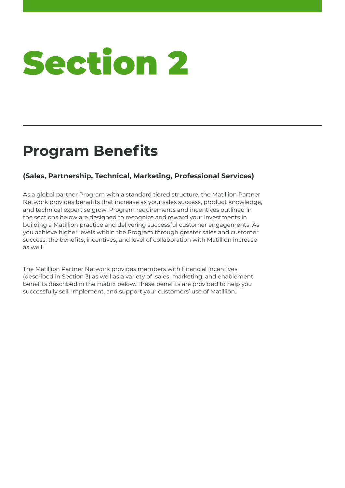## <span id="page-5-0"></span>**Program Benefits**

#### **(Sales, Partnership, Technical, Marketing, Professional Services)**

As a global partner Program with a standard tiered structure, the Matillion Partner Network provides benefits that increase as your sales success, product knowledge, and technical expertise grow. Program requirements and incentives outlined in the sections below are designed to recognize and reward your investments in building a Matillion practice and delivering successful customer engagements. As you achieve higher levels within the Program through greater sales and customer success, the benefits, incentives, and level of collaboration with Matillion increase as well.

The Matillion Partner Network provides members with financial incentives (described in Section 3) as well as a variety of sales, marketing, and enablement benefits described in the matrix below. These benefits are provided to help you successfully sell, implement, and support your customers' use of Matillion.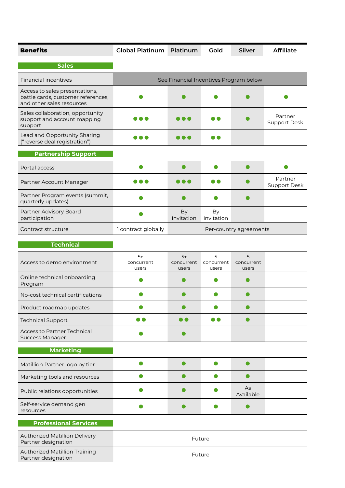| <b>Benefits</b>                                                                                   | <b>Global Platinum Platinum</b> |                                        | Gold                     | <b>Silver</b>            | <b>Affiliate</b>        |
|---------------------------------------------------------------------------------------------------|---------------------------------|----------------------------------------|--------------------------|--------------------------|-------------------------|
| <b>Sales</b>                                                                                      |                                 |                                        |                          |                          |                         |
| <b>Financial incentives</b>                                                                       |                                 | See Financial Incentives Program below |                          |                          |                         |
| Access to sales presentations,<br>battle cards, customer references,<br>and other sales resources |                                 |                                        |                          |                          |                         |
| Sales collaboration, opportunity<br>support and account mapping<br>support                        |                                 |                                        |                          |                          | Partner<br>Support Desk |
| Lead and Opportunity Sharing<br>("reverse deal registration")                                     | .                               | D O                                    | $\blacksquare$           |                          |                         |
| <b>Partnership Support</b>                                                                        |                                 |                                        |                          |                          |                         |
| Portal access                                                                                     |                                 | ●                                      | $\bullet$                |                          |                         |
| Partner Account Manager                                                                           |                                 |                                        |                          |                          | Partner<br>Support Desk |
| Partner Program events (summit,<br>quarterly updates)                                             |                                 |                                        |                          |                          |                         |
| Partner Advisory Board<br>participation                                                           |                                 | <b>By</b><br>invitation                | By<br>invitation         |                          |                         |
| Contract structure                                                                                | 1 contract globally             |                                        |                          | Per-country agreements   |                         |
| <b>Technical</b>                                                                                  |                                 |                                        |                          |                          |                         |
| Access to demo environment                                                                        | $5+$<br>concurrent<br>users     | $5+$<br>concurrent<br>users            | 5<br>concurrent<br>users | 5<br>concurrent<br>users |                         |
| Online technical onboarding<br>Program                                                            |                                 |                                        |                          |                          |                         |
| No-cost technical certifications                                                                  |                                 |                                        |                          |                          |                         |
| Product roadmap updates                                                                           |                                 |                                        |                          |                          |                         |
| <b>Technical Support</b>                                                                          |                                 | DO                                     |                          |                          |                         |
| <b>Access to Partner Technical</b><br><b>Success Manager</b>                                      |                                 |                                        |                          |                          |                         |
| <b>Marketing</b>                                                                                  |                                 |                                        |                          |                          |                         |
| Matillion Partner logo by tier                                                                    |                                 |                                        |                          |                          |                         |
| Marketing tools and resources                                                                     |                                 |                                        |                          |                          |                         |
| Public relations opportunities                                                                    |                                 |                                        |                          | As<br>Available          |                         |
| Self-service demand gen<br>resources                                                              |                                 |                                        |                          |                          |                         |
| <b>Professional Services</b>                                                                      |                                 |                                        |                          |                          |                         |
| Authorized Matillion Delivery<br>Partner designation                                              |                                 |                                        | Future                   |                          |                         |
| <b>Authorized Matillion Training</b><br>Partner designation                                       |                                 |                                        | Future                   |                          |                         |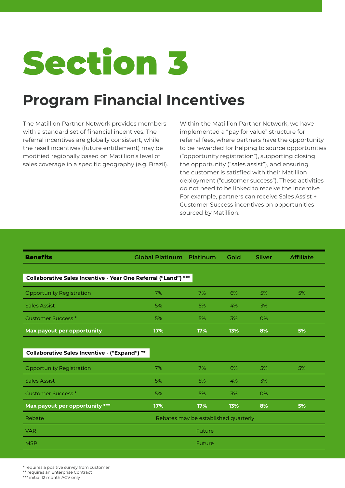## <span id="page-7-0"></span>**Program Financial Incentives**

The Matillion Partner Network provides members with a standard set of financial incentives. The referral incentives are globally consistent, while the resell incentives (future entitlement) may be modified regionally based on Matillion's level of sales coverage in a specific geography (e.g. Brazil). Within the Matillion Partner Network, we have implemented a "pay for value" structure for referral fees, where partners have the opportunity to be rewarded for helping to source opportunities ("opportunity registration"), supporting closing the opportunity ("sales assist"), and ensuring the customer is satisfied with their Matillion deployment ("customer success"). These activities do not need to be linked to receive the incentive. For example, partners can receive Sales Assist + Customer Success incentives on opportunities sourced by Matillion.

| <b>Benefits</b>                                                | <b>Global Platinum</b>               | Platinum | Gold | <b>Silver</b> | <b>Affiliate</b> |
|----------------------------------------------------------------|--------------------------------------|----------|------|---------------|------------------|
|                                                                |                                      |          |      |               |                  |
| Collaborative Sales Incentive - Year One Referral ("Land") *** |                                      |          |      |               |                  |
| <b>Opportunity Registration</b>                                | 7%                                   | 7%       | 6%   | 5%            | 5%               |
| <b>Sales Assist</b>                                            | 5%                                   | 5%       | 4%   | 3%            |                  |
| <b>Customer Success*</b>                                       | 5%                                   | 5%       | 3%   | <b>O%</b>     |                  |
| Max payout per opportunity                                     | 17%                                  | 17%      | 13%  | 8%            | 5%               |
|                                                                |                                      |          |      |               |                  |
| Collaborative Sales Incentive - ("Expand") **                  |                                      |          |      |               |                  |
| <b>Opportunity Registration</b>                                | 7%                                   | 7%       | 6%   | 5%            | 5%               |
| <b>Sales Assist</b>                                            | 5%                                   | 5%       | 4%   | 3%            |                  |
| <b>Customer Success*</b>                                       | 5%                                   | 5%       | 3%   | 0%            |                  |
| Max payout per opportunity ***                                 | 17%                                  | 17%      | 13%  | 8%            | 5%               |
| Rebate                                                         | Rebates may be established quarterly |          |      |               |                  |
| <b>VAR</b>                                                     |                                      | Future   |      |               |                  |
| <b>MSP</b>                                                     |                                      | Future   |      |               |                  |

\* requires a positive survey from customer

\*\* requires an Enterprise Contract

<sup>\*\*\*</sup> initial 12 month ACV only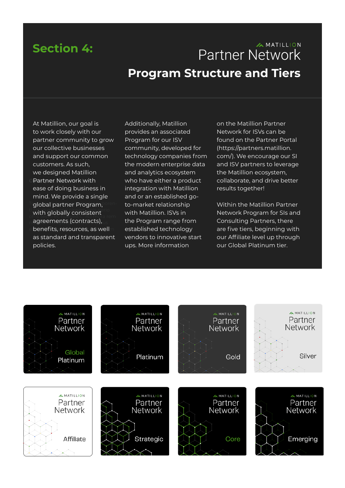## <span id="page-8-0"></span>**Section 4:**

## **AMATILLION Partner Network Program Structure and Tiers**

**Deartner Network with** <sup>T</sup>global partner Program, **oren**with globally consistent offic testo et; nullssid C. Ad mora rem.  $_\cap$  agreements (contracts),  $_\cup$  s  $\circ$  benefits, resources, as well $\circ$ At Matillion, our goal is to work closely with our partner community to grow our collective businesses and support our common customers. As such, we designed Matillion ease of doing business in mind. We provide a single as standard and transparent policies.

Additionally, Matillion provides an associated Program for our ISV community, developed for technology companies from the modern enterprise data and analytics ecosystem who have either a product integration with Matillion and or an established goto-market relationship with Matillion. ISVs in the Program range from established technology vendors to innovative start ups. More information

on the Matillion Partner Network for ISVs can be found on the Partner Portal (https://partners.matillion. com/). We encourage our SI and ISV partners to leverage the Matillion ecosystem, collaborate, and drive better results together!

Within the Matillion Partner Network Program for SIs and Consulting Partners, there are five tiers, beginning with our Affiliate level up through our Global Platinum tier.

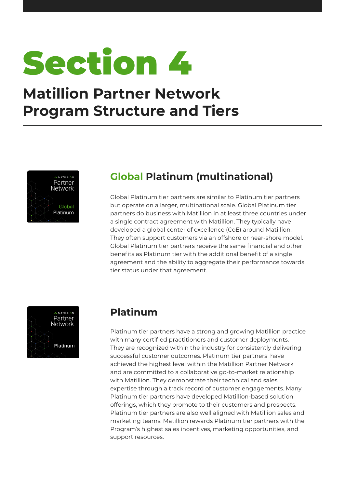

## **Matillion Partner Network Program Structure and Tiers**



## **Global Platinum (multinational)**

Global Platinum tier partners are similar to Platinum tier partners but operate on a larger, multinational scale. Global Platinum tier partners do business with Matillion in at least three countries under a single contract agreement with Matillion. They typically have developed a global center of excellence (CoE) around Matillion. They often support customers via an offshore or near-shore model. Global Platinum tier partners receive the same financial and other benefits as Platinum tier with the additional benefit of a single agreement and the ability to aggregate their performance towards tier status under that agreement.



### **Platinum**

Platinum tier partners have a strong and growing Matillion practice with many certified practitioners and customer deployments. They are recognized within the industry for consistently delivering successful customer outcomes. Platinum tier partners have achieved the highest level within the Matillion Partner Network and are committed to a collaborative go-to-market relationship with Matillion. They demonstrate their technical and sales expertise through a track record of customer engagements. Many Platinum tier partners have developed Matillion-based solution offerings, which they promote to their customers and prospects. Platinum tier partners are also well aligned with Matillion sales and marketing teams. Matillion rewards Platinum tier partners with the Program's highest sales incentives, marketing opportunities, and support resources.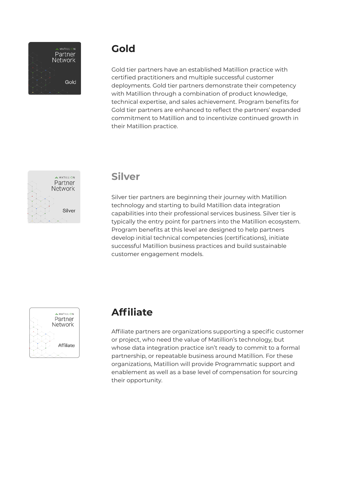

### **Gold**

Gold tier partners have an established Matillion practice with certified practitioners and multiple successful customer deployments. Gold tier partners demonstrate their competency with Matillion through a combination of product knowledge, technical expertise, and sales achievement. Program benefits for Gold tier partners are enhanced to reflect the partners' expanded commitment to Matillion and to incentivize continued growth in their Matillion practice.



#### **Silver**

Silver tier partners are beginning their journey with Matillion technology and starting to build Matillion data integration capabilities into their professional services business. Silver tier is typically the entry point for partners into the Matillion ecosystem. Program benefits at this level are designed to help partners develop initial technical competencies (certifications), initiate successful Matillion business practices and build sustainable customer engagement models.



### **Affiliate**

Affiliate partners are organizations supporting a specific customer or project, who need the value of Matillion's technology, but whose data integration practice isn't ready to commit to a formal partnership, or repeatable business around Matillion. For these organizations, Matillion will provide Programmatic support and enablement as well as a base level of compensation for sourcing their opportunity.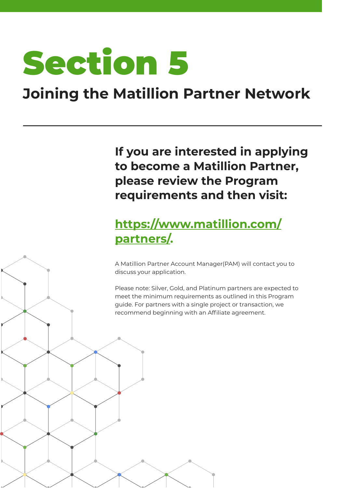## <span id="page-11-0"></span>**Joining the Matillion Partner Network**

**If you are interested in applying to become a Matillion Partner, please review the Program requirements and then visit:**

## **[https://www.matillion.com/](https://www.matillion.com/partners/) [partners/.](https://www.matillion.com/partners/)**

A Matillion Partner Account Manager(PAM) will contact you to discuss your application.

Please note: Silver, Gold, and Platinum partners are expected to meet the minimum requirements as outlined in this Program guide. For partners with a single project or transaction, we recommend beginning with an Affiliate agreement.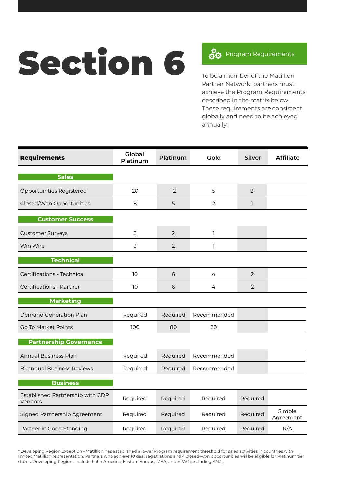# <span id="page-12-0"></span>Section 6 80 Program Requirements

To be a member of the Matillion Partner Network, partners must achieve the Program Requirements described in the matrix below. These requirements are consistent globally and need to be achieved annually.

| <b>Requirements</b>                         | <b>Global</b><br>Platinum | Platinum       | Gold           | <b>Silver</b>  | <b>Affiliate</b>    |
|---------------------------------------------|---------------------------|----------------|----------------|----------------|---------------------|
| <b>Sales</b>                                |                           |                |                |                |                     |
| Opportunities Registered                    | 20                        | 12             | 5              | $\overline{2}$ |                     |
| Closed/Won Opportunities                    | 8                         | 5              | $\overline{2}$ | 1              |                     |
| <b>Customer Success</b>                     |                           |                |                |                |                     |
| <b>Customer Surveys</b>                     | 3                         | $\overline{2}$ | 1              |                |                     |
| Win Wire                                    | 3                         | 2              | <sub>1</sub>   |                |                     |
| <b>Technical</b>                            |                           |                |                |                |                     |
| Certifications - Technical                  | 10                        | 6              | 4              | 2              |                     |
| Certifications - Partner                    | 10                        | 6              | 4              | 2              |                     |
| <b>Marketing</b>                            |                           |                |                |                |                     |
| <b>Demand Generation Plan</b>               | Required                  | Required       | Recommended    |                |                     |
| Go To Market Points                         | 100                       | 80             | 20             |                |                     |
| <b>Partnership Governance</b>               |                           |                |                |                |                     |
| <b>Annual Business Plan</b>                 | Required                  | Required       | Recommended    |                |                     |
| <b>Bi-annual Business Reviews</b>           | Required                  | Required       | Recommended    |                |                     |
| <b>Business</b>                             |                           |                |                |                |                     |
| Established Partnership with CDP<br>Vendors | Required                  | Required       | Required       | Required       |                     |
| Signed Partnership Agreement                | Required                  | Required       | Required       | Required       | Simple<br>Agreement |
| Partner in Good Standing                    | Required                  | Required       | Required       | Required       | N/A                 |

\* Developing Region Exception - Matillion has established a lower Program requirement threshold for sales activities in countries with limited Matillion representation. Partners who achieve 10 deal registrations and 4 closed-won opportunities will be eligible for Platinum tier status. Developing Regions include Latin America, Eastern Europe, MEA, and APAC (excluding ANZ).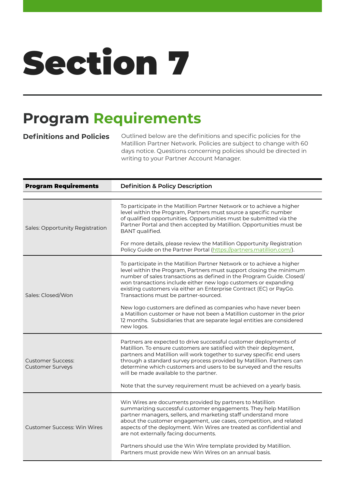## <span id="page-13-0"></span>**Program Requirements**

**Definitions and Policies** Outlined below are the definitions and specific policies for the Matillion Partner Network. Policies are subject to change with 60 days notice. Questions concerning policies should be directed in writing to your Partner Account Manager.

| <b>Program Requirements</b>                         | <b>Definition &amp; Policy Description</b>                                                                                                                                                                                                                                                                                                                                                                                                                                                                                                                                                                                                       |
|-----------------------------------------------------|--------------------------------------------------------------------------------------------------------------------------------------------------------------------------------------------------------------------------------------------------------------------------------------------------------------------------------------------------------------------------------------------------------------------------------------------------------------------------------------------------------------------------------------------------------------------------------------------------------------------------------------------------|
|                                                     |                                                                                                                                                                                                                                                                                                                                                                                                                                                                                                                                                                                                                                                  |
| Sales: Opportunity Registration                     | To participate in the Matillion Partner Network or to achieve a higher<br>level within the Program, Partners must source a specific number<br>of qualified opportunities. Opportunities must be submitted via the<br>Partner Portal and then accepted by Matillion. Opportunities must be<br>BANT qualified.<br>For more details, please review the Matillion Opportunity Registration<br>Policy Guide on the Partner Portal (https://partners.matillion.com/).                                                                                                                                                                                  |
| Sales: Closed/Won                                   | To participate in the Matillion Partner Network or to achieve a higher<br>level within the Program, Partners must support closing the minimum<br>number of sales transactions as defined in the Program Guide. Closed/<br>won transactions include either new logo customers or expanding<br>existing customers via either an Enterprise Contract (EC) or PayGo.<br>Transactions must be partner-sourced.<br>New logo customers are defined as companies who have never been<br>a Matillion customer or have not been a Matillion customer in the prior<br>12 months. Subsidiaries that are separate legal entities are considered<br>new logos. |
| <b>Customer Success:</b><br><b>Customer Surveys</b> | Partners are expected to drive successful customer deployments of<br>Matillion. To ensure customers are satisfied with their deployment,<br>partners and Matillion will work together to survey specific end users<br>through a standard survey process provided by Matillion. Partners can<br>determine which customers and users to be surveyed and the results<br>will be made available to the partner.<br>Note that the survey requirement must be achieved on a yearly basis.                                                                                                                                                              |
| <b>Customer Success: Win Wires</b>                  | Win Wires are documents provided by partners to Matillion<br>summarizing successful customer engagements. They help Matillion<br>partner managers, sellers, and marketing staff understand more<br>about the customer engagement, use cases, competition, and related<br>aspects of the deployment. Win Wires are treated as confidential and<br>are not externally facing documents.<br>Partners should use the Win Wire template provided by Matillion.<br>Partners must provide new Win Wires on an annual basis.                                                                                                                             |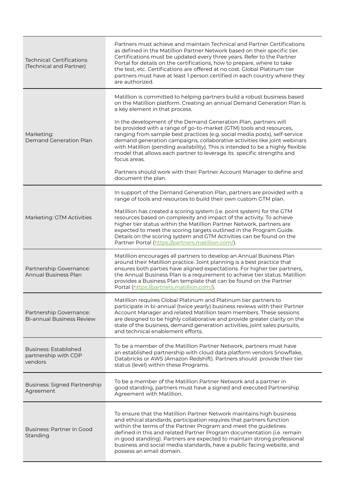| <b>Technical: Certifications</b><br>(Technical and Partner)     | Partners must achieve and maintain Technical and Partner Certifications<br>as defined in the Matillion Partner Network based on their specific tier.<br>Certifications must be updated every three years. Refer to the Partner<br>Portal for details on the certifications, how to prepare, where to take<br>the test, etc. Certifications are offered at no cost. Global Platinum tier<br>partners must have at least I person certified in each country where they<br>are authorized. |
|-----------------------------------------------------------------|-----------------------------------------------------------------------------------------------------------------------------------------------------------------------------------------------------------------------------------------------------------------------------------------------------------------------------------------------------------------------------------------------------------------------------------------------------------------------------------------|
|                                                                 | Matillion is committed to helping partners build a robust business based<br>on the Matillion platform. Creating an annual Demand Generation Plan is<br>a key element in that process.                                                                                                                                                                                                                                                                                                   |
| Marketing:<br>Demand Generation Plan                            | In the development of the Demand Generation Plan, partners will<br>be provided with a range of go-to-market (GTM) tools and resources,<br>ranging from sample best practices (e.g. social media posts), self-service<br>demand generation campaigns, collaborative activities like joint webinars<br>with Matillion (pending availability). This is intended to be a highly flexible<br>model that allows each partner to leverage its specific strengths and<br>focus areas.           |
|                                                                 | Partners should work with their Partner Account Manager to define and<br>document the plan.                                                                                                                                                                                                                                                                                                                                                                                             |
|                                                                 | In support of the Demand Generation Plan, partners are provided with a<br>range of tools and resources to build their own custom GTM plan.                                                                                                                                                                                                                                                                                                                                              |
| Marketing: GTM Activities                                       | Matillion has created a scoring system (i.e. point system) for the GTM<br>resources based on complexity and impact of the activity. To achieve<br>higher tier status within the Matillion Partner Network, partners are<br>expected to meet the scoring targets outlined in the Program Guide.<br>Details on the scoring system and GTM Activities can be found on the<br>Partner Portal (https://partners.matillion.com/).                                                             |
| Partnership Governance:<br><b>Annual Business Plan</b>          | Matillion encourages all partners to develop an Annual Business Plan<br>around their Matillion practice. Joint planning is a best practice that<br>ensures both parties have aligned expectations. For higher tier partners,<br>the Annual Business Plan is a requirement to achieve tier status. Matillion<br>provides a Business Plan template that can be found on the Partner<br>Portal (https://partners.matillion.com/).                                                          |
| Partnership Governance:<br><b>Bi-annual Business Review</b>     | Matillion requires Global Platinum and Platinum tier partners to<br>participate in bi-annual (twice yearly) business reviews with their Partner<br>Account Manager and related Matillion team members. These sessions<br>are designed to be highly collaborative and provide greater clarity on the<br>state of the business, demand generation activities, joint sales pursuits,<br>and technical enablement efforts.                                                                  |
| <b>Business: Established</b><br>partnership with CDP<br>vendors | To be a member of the Matillion Partner Network, partners must have<br>an established partnership with cloud data platform vendors Snowflake,<br>Databricks or AWS (Amazon Redshift). Partners should provide their tier<br>status (level) within these Programs.                                                                                                                                                                                                                       |
| <b>Business: Signed Partnership</b><br>Agreement                | To be a member of the Matillion Partner Network and a partner in<br>good standing, partners must have a signed and executed Partnership<br>Agreement with Matillion.                                                                                                                                                                                                                                                                                                                    |
| Business: Partner in Good<br>Standing                           | To ensure that the Matillion Partner Network maintains high business<br>and ethical standards, participation requires that partners function<br>within the terms of the Partner Program and meet the guidelines<br>defined in this and related Partner Program documentation (i.e. remain<br>in good standing). Partners are expected to maintain strong professional<br>business and social media standards, have a public facing website, and<br>possess an email domain.             |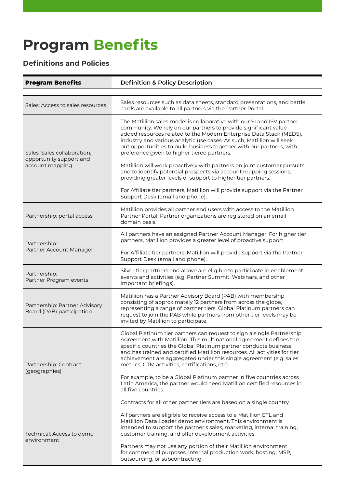## **Program Benefits**

### **Definitions and Policies**

| <b>Program Benefits</b>                                    | <b>Definition &amp; Policy Description</b>                                                                                                                                                                                                                                                                                                                                                                             |
|------------------------------------------------------------|------------------------------------------------------------------------------------------------------------------------------------------------------------------------------------------------------------------------------------------------------------------------------------------------------------------------------------------------------------------------------------------------------------------------|
|                                                            |                                                                                                                                                                                                                                                                                                                                                                                                                        |
| Sales: Access to sales resources                           | Sales resources such as data sheets, standard presentations, and battle<br>cards are available to all partners via the Partner Portal.                                                                                                                                                                                                                                                                                 |
| Sales: Sales collaboration,<br>opportunity support and     | The Matillion sales model is collaborative with our SI and ISV partner<br>community. We rely on our partners to provide significant value<br>added resources related to the Modern Enterprise Data Stack (MEDS),<br>industry and various analytic use cases. As such, Matillion will seek<br>out opportunities to build business together with our partners, with<br>preference given to higher tiered partners.       |
| account mapping                                            | Matillion will work proactively with partners on joint customer pursuits<br>and to identify potential prospects via account mapping sessions,<br>providing greater levels of support to higher tier partners.                                                                                                                                                                                                          |
|                                                            | For Affiliate tier partners, Matillion will provide support via the Partner<br>Support Desk (email and phone).                                                                                                                                                                                                                                                                                                         |
| Partnership: portal access                                 | Matillion provides all partner end users with access to the Matillion<br>Partner Portal. Partner organizations are registered on an email<br>domain basis.                                                                                                                                                                                                                                                             |
| Partnership:                                               | All partners have an assigned Partner Account Manager. For higher tier<br>partners, Matillion provides a greater level of proactive support.                                                                                                                                                                                                                                                                           |
| Partner Account Manager                                    | For Affiliate tier partners, Matillion will provide support via the Partner<br>Support Desk (email and phone).                                                                                                                                                                                                                                                                                                         |
| Partnership:<br>Partner Program events                     | Silver tier partners and above are eligible to participate in enablement<br>events and activities (e.g. Partner Summit, Webinars, and other<br>important briefings).                                                                                                                                                                                                                                                   |
| Partnership: Partner Advisory<br>Board (PAB) participation | Matillion has a Partner Advisory Board (PAB) with membership<br>consisting of approximately 12 partners from across the globe,<br>representing a range of partner tiers. Global Platinum partners can<br>request to join the PAB while partners from other tier levels may be<br>invited by Matillion to participate.                                                                                                  |
| Partnership: Contract<br>(geographies)                     | Global Platinum tier partners can request to sign a single Partnership<br>Agreement with Matillion. This multinational agreement defines the<br>specific countries the Global Platinum partner conducts business<br>and has trained and certified Matillion resources. All activities for tier<br>achievement are aggregated under this single agreement (e.g. sales<br>metrics, GTM activities, certifications, etc). |
|                                                            | For example, to be a Global Platinum partner in five countries across<br>Latin America, the partner would need Matillion certified resources in<br>all five countries.                                                                                                                                                                                                                                                 |
|                                                            | Contracts for all other partner tiers are based on a single country.                                                                                                                                                                                                                                                                                                                                                   |
| Technical: Access to demo<br>environment                   | All partners are eligible to receive access to a Matillion ETL and<br>Matillion Data Loader demo environment. This environment is<br>intended to support the partner's sales, marketing, internal training,<br>customer training, and offer development activities.                                                                                                                                                    |
|                                                            | Partners may not use any portion of their Matillion environment<br>for commercial purposes, internal production work, hosting, MSP,<br>outsourcing, or subcontracting.                                                                                                                                                                                                                                                 |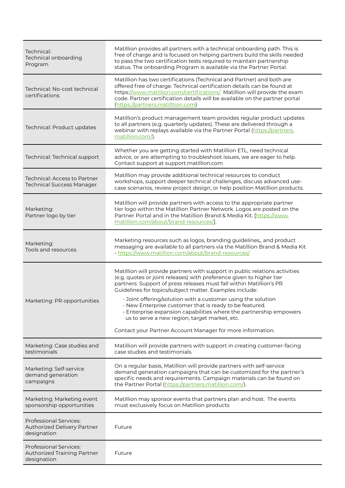| Technical:<br>Technical onboarding<br>Program                               | Matillion provides all partners with a technical onboarding path. This is<br>free of charge and is focused on helping partners build the skills needed<br>to pass the two certification tests required to maintain partnership<br>status. The onboarding Program is available via the Partner Portal.                                             |
|-----------------------------------------------------------------------------|---------------------------------------------------------------------------------------------------------------------------------------------------------------------------------------------------------------------------------------------------------------------------------------------------------------------------------------------------|
| Technical: No-cost technical<br>certifications                              | Matillion has two certifications (Technical and Partner) and both are<br>offered free of charge. Technical certification details can be found at<br>https://www.matillion.com/certifications/ Matillion will provide the exam<br>code. Partner certification details will be available on the partner portal<br>(https://partners.matilltion.com) |
| Technical: Product updates                                                  | Matillion's product management team provides regular product updates<br>to all partners (e.g. quarterly updates). These are delivered through a<br>webinar with replays available via the Partner Portal (https://partners.<br>matillion.com/).                                                                                                   |
| Technical: Technical support                                                | Whether you are getting started with Matillion ETL, need technical<br>advice, or are attempting to troubleshoot issues, we are eager to help.<br>Contact support at support.matillion.com                                                                                                                                                         |
| Technical: Access to Partner<br><b>Technical Success Manager</b>            | Matillion may provide additional technical resources to conduct<br>workshops, support deeper technical challenges, discuss advanced use-<br>case scenarios, review project design, or help position Matillion products.                                                                                                                           |
| Marketing:<br>Partner logo by tier                                          | Matillion will provide partners with access to the appropriate partner<br>tier logo within the Matillion Partner Network. Logos are posted on the<br>Partner Portal and in the Matillion Brand & Media Kit. [https://www.<br>matillion.com/about/brand-resources/].                                                                               |
| Marketing:<br>Tools and resources                                           | Marketing resources such as logos, branding guidelines,, and product<br>messaging are available to all partners via the Matillion Brand & Media Kit<br>- https://www.matillion.com/about/brand-resources/                                                                                                                                         |
|                                                                             | Matillion will provide partners with support in public relations activities<br>(e.g. quotes or joint releases) with preference given to higher tier<br>partners. Support of press releases must fall within Matillion's PR<br>Guidelines for topics/subject matter. Examples include:                                                             |
| Marketing: PR opportunities                                                 | - Joint offering/solution with a customer using the solution<br>- New Enterprise customer that is ready to be featured.<br>- Enterprise expansion capabilities where the partnership empowers<br>us to serve a new region, target market, etc.                                                                                                    |
|                                                                             | Contact your Partner Account Manager for more information.                                                                                                                                                                                                                                                                                        |
| Marketing: Case studies and<br>testimonials                                 | Matillion will provide partners with support in creating customer-facing<br>case studies and testimonials.                                                                                                                                                                                                                                        |
| Marketing: Self-service<br>demand generation<br>campaigns                   | On a regular basis, Matillion will provide partners with self-service<br>demand generation campaigns that can be customized for the partner's<br>specific needs and requirements. Campaign materials can be found on<br>the Partner Portal (https://partners.matillion.com/).                                                                     |
| Marketing: Marketing event<br>sponsorship opportunities                     | Matillion may sponsor events that partners plan and host. The events<br>must exclusively focus on Matillion products                                                                                                                                                                                                                              |
| <b>Professional Services:</b><br>Authorized Delivery Partner<br>designation | Future                                                                                                                                                                                                                                                                                                                                            |
| Professional Services:<br>Authorized Training Partner<br>designation        | Future                                                                                                                                                                                                                                                                                                                                            |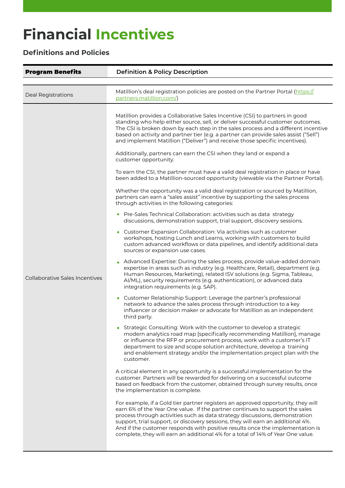# **Financial Incentives**

### **Definitions and Policies**

| <b>Program Benefits</b>               | <b>Definition &amp; Policy Description</b>                                                                                                                                                                                                                                                                                                                                                                                                                                                                                                                                                                                                                                                                                                                                                                                                                                                                                                                                                                                                                                                                                                                                                                                                                                                                                                                                                                                                                                                                                                                                                                                                                                                                                                                                                                                                                                                                                                                                                                                                                                                                                                                                                                                                                                                                                                                                                                                                                                                                                                                                                                                                                                                                                                                                                                                                                                                                                                                                                                                                                                                                                               |
|---------------------------------------|------------------------------------------------------------------------------------------------------------------------------------------------------------------------------------------------------------------------------------------------------------------------------------------------------------------------------------------------------------------------------------------------------------------------------------------------------------------------------------------------------------------------------------------------------------------------------------------------------------------------------------------------------------------------------------------------------------------------------------------------------------------------------------------------------------------------------------------------------------------------------------------------------------------------------------------------------------------------------------------------------------------------------------------------------------------------------------------------------------------------------------------------------------------------------------------------------------------------------------------------------------------------------------------------------------------------------------------------------------------------------------------------------------------------------------------------------------------------------------------------------------------------------------------------------------------------------------------------------------------------------------------------------------------------------------------------------------------------------------------------------------------------------------------------------------------------------------------------------------------------------------------------------------------------------------------------------------------------------------------------------------------------------------------------------------------------------------------------------------------------------------------------------------------------------------------------------------------------------------------------------------------------------------------------------------------------------------------------------------------------------------------------------------------------------------------------------------------------------------------------------------------------------------------------------------------------------------------------------------------------------------------------------------------------------------------------------------------------------------------------------------------------------------------------------------------------------------------------------------------------------------------------------------------------------------------------------------------------------------------------------------------------------------------------------------------------------------------------------------------------------------------|
|                                       |                                                                                                                                                                                                                                                                                                                                                                                                                                                                                                                                                                                                                                                                                                                                                                                                                                                                                                                                                                                                                                                                                                                                                                                                                                                                                                                                                                                                                                                                                                                                                                                                                                                                                                                                                                                                                                                                                                                                                                                                                                                                                                                                                                                                                                                                                                                                                                                                                                                                                                                                                                                                                                                                                                                                                                                                                                                                                                                                                                                                                                                                                                                                          |
| Deal Registrations                    | Matillion's deal registration policies are posted on the Partner Portal (https://<br>partners.matillion.com/)                                                                                                                                                                                                                                                                                                                                                                                                                                                                                                                                                                                                                                                                                                                                                                                                                                                                                                                                                                                                                                                                                                                                                                                                                                                                                                                                                                                                                                                                                                                                                                                                                                                                                                                                                                                                                                                                                                                                                                                                                                                                                                                                                                                                                                                                                                                                                                                                                                                                                                                                                                                                                                                                                                                                                                                                                                                                                                                                                                                                                            |
| <b>Collaborative Sales Incentives</b> | Matillion provides a Collaborative Sales Incentive (CSI) to partners in good<br>standing who help either source, sell, or deliver successful customer outcomes.<br>The CSI is broken down by each step in the sales process and a different incentive<br>based on activity and partner tier (e.g. a partner can provide sales assist ("Sell")<br>and implement Matillion ("Deliver") and receive those specific incentives).<br>Additionally, partners can earn the CSI when they land or expand a<br>customer opportunity.<br>To earn the CSI, the partner must have a valid deal registration in place or have<br>been added to a Matillion-sourced opportunity (viewable via the Partner Portal).<br>Whether the opportunity was a valid deal registration or sourced by Matillion,<br>partners can earn a "sales assist" incentive by supporting the sales process<br>through activities in the following categories:<br>• Pre-Sales Technical Collaboration: activities such as data strategy<br>discussions, demonstration support, trial support, discovery sessions.<br>• Customer Expansion Collaboration: Via activities such as customer<br>workshops, hosting Lunch and Learns, working with customers to build<br>custom advanced workflows or data pipelines, and identify additional data<br>sources or expansion use cases.<br>Advanced Expertise: During the sales process, provide value-added domain<br>expertise in areas such as industry (e.g. Healthcare, Retail), department (e.g.<br>Human Resources, Marketing), related ISV solutions (e.g. Sigma, Tableau,<br>Al/ML), security requirements (e.g. authentication), or advanced data<br>integration requirements (e.g. SAP).<br>• Customer Relationship Support: Leverage the partner's professional<br>network to advance the sales process through introduction to a key<br>influencer or decision maker or advocate for Matillion as an independent<br>third party.<br>Strategic Consulting: Work with the customer to develop a strategic<br>modern analytics road map [specifically recommending Matillion], manage<br>or influence the RFP or procurement process, work with a customer's IT<br>department to size and scope solution architecture, develop a training<br>and enablement strategy and/or the implementation project plan with the<br>customer.<br>A critical element in any opportunity is a successful implementation for the<br>customer. Partners will be rewarded for delivering on a successful outcome<br>based on feedback from the customer, obtained through survey results, once<br>the implementation is complete.<br>For example, if a Gold tier partner registers an approved opportunity, they will<br>earn 6% of the Year One value. If the partner continues to support the sales<br>process through activities such as data strategy discussions, demonstration<br>support, trial support, or discovery sessions, they will earn an additional 4%.<br>And if the customer responds with positive results once the implementation is<br>complete, they will earn an additional 4% for a total of 14% of Year One value. |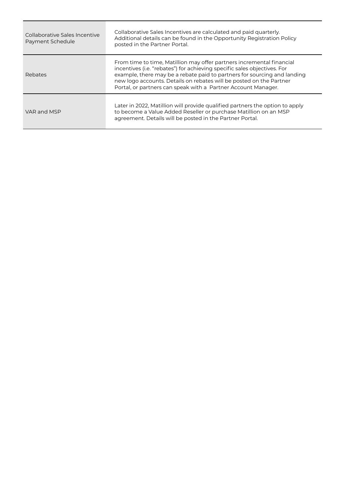| Collaborative Sales Incentive<br>Payment Schedule | Collaborative Sales Incentives are calculated and paid quarterly.<br>Additional details can be found in the Opportunity Registration Policy<br>posted in the Partner Portal.                                                                                                                                                                                          |
|---------------------------------------------------|-----------------------------------------------------------------------------------------------------------------------------------------------------------------------------------------------------------------------------------------------------------------------------------------------------------------------------------------------------------------------|
| Rebates                                           | From time to time, Matillion may offer partners incremental financial<br>incentives (i.e. "rebates") for achieving specific sales objectives. For<br>example, there may be a rebate paid to partners for sourcing and landing<br>new logo accounts. Details on rebates will be posted on the Partner<br>Portal, or partners can speak with a Partner Account Manager. |
| VAR and MSP                                       | Later in 2022, Matillion will provide qualified partners the option to apply<br>to become a Value Added Reseller or purchase Matillion on an MSP<br>agreement. Details will be posted in the Partner Portal.                                                                                                                                                          |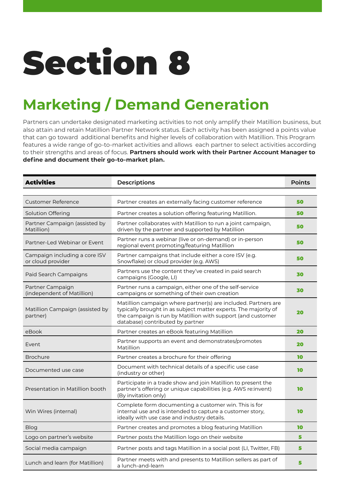# <span id="page-19-0"></span>**Marketing / Demand Generation**

Partners can undertake designated marketing activities to not only amplify their Matillion business, but also attain and retain Matillion Partner Network status. Each activity has been assigned a points value that can go toward additional benefits and higher levels of collaboration with Matillion. This Program features a wide range of go-to-market activities and allows each partner to select activities according to their strengths and areas of focus. **Partners should work with their Partner Account Manager to define and document their go-to-market plan.** 

| <b>Activities</b>                                  | <b>Descriptions</b>                                                                                                                                                                                                                  | <b>Points</b> |
|----------------------------------------------------|--------------------------------------------------------------------------------------------------------------------------------------------------------------------------------------------------------------------------------------|---------------|
|                                                    |                                                                                                                                                                                                                                      |               |
| <b>Customer Reference</b>                          | Partner creates an externally facing customer reference                                                                                                                                                                              | 50            |
| Solution Offering                                  | Partner creates a solution offering featuring Matillion.                                                                                                                                                                             | 50            |
| Partner Campaign (assisted by<br>Matillion)        | Partner collaborates with Matillion to run a joint campaign,<br>driven by the partner and supported by Matillion                                                                                                                     | 50            |
| Partner-Led Webinar or Event                       | Partner runs a webinar (live or on-demand) or in-person<br>regional event promoting/featuring Matillion                                                                                                                              | 50            |
| Campaign including a core ISV<br>or cloud provider | Partner campaigns that include either a core ISV (e.g.<br>Snowflake) or cloud provider (e.g. AWS)                                                                                                                                    | 50            |
| Paid Search Campaigns                              | Partners use the content they've created in paid search<br>campaigns (Google, LI)                                                                                                                                                    | 30            |
| Partner Campaign<br>(independent of Matillion)     | Partner runs a campaign, either one of the self-service<br>campaigns or something of their own creation                                                                                                                              | 30            |
| Matillion Campaign (assisted by<br>partner)        | Matillion campaign where partner(s) are included. Partners are<br>typically brought in as subject matter experts. The majority of<br>the campaign is run by Matillion with support (and customer<br>database) contributed by partner | 20            |
| eBook                                              | Partner creates an eBook featuring Matillion                                                                                                                                                                                         | 20            |
| Event                                              | Partner supports an event and demonstrates/promotes<br>Matillion                                                                                                                                                                     | 20            |
| <b>Brochure</b>                                    | Partner creates a brochure for their offering                                                                                                                                                                                        | 10            |
| Documented use case                                | Document with technical details of a specific use case<br>(industry or other)                                                                                                                                                        | 10            |
| Presentation in Matillion booth                    | Participate in a trade show and join Matillion to present the<br>partner's offering or unique capabilities (e.g. AWS re:invent)<br>(By invitation only)                                                                              | 10            |
| Win Wires (internal)                               | Complete form documenting a customer win. This is for<br>internal use and is intended to capture a customer story,<br>ideally with use case and industry details.                                                                    | 10            |
| <b>Blog</b>                                        | Partner creates and promotes a blog featuring Matillion                                                                                                                                                                              | 10            |
| Logo on partner's website                          | Partner posts the Matillion logo on their website                                                                                                                                                                                    | 5             |
| Social media campaign                              | Partner posts and tags Matillion in a social post (LI, Twitter, FB)                                                                                                                                                                  | 5             |
| Lunch and learn (for Matillion)                    | Partner meets with and presents to Matillion sellers as part of<br>a lunch-and-learn                                                                                                                                                 | 5             |